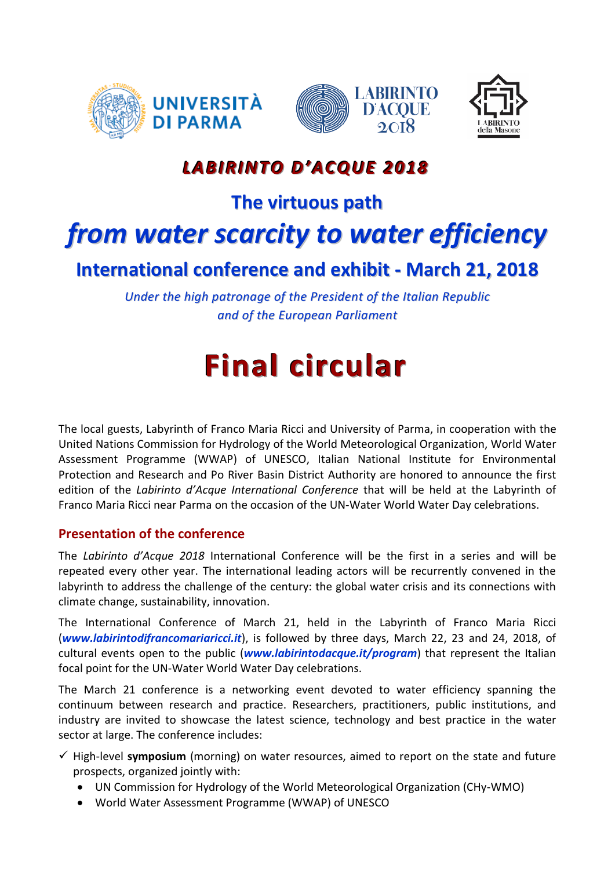





## *LABIRINTO D'ACQUE 2018*

### **The virtuous path**

## *from water scarcity to water efficiency*

## **International conference and exhibit - March 21, 2018**

*Under the high patronage of the President of the Italian Republic and of the European Parliament*

# **Final circular**

The local guests, Labyrinth of Franco Maria Ricci and University of Parma, in cooperation with the United Nations Commission for Hydrology of the World Meteorological Organization, World Water Assessment Programme (WWAP) of UNESCO, Italian National Institute for Environmental Protection and Research and Po River Basin District Authority are honored to announce the first edition of the *Labirinto d'Acque International Conference* that will be held at the Labyrinth of Franco Maria Ricci near Parma on the occasion of the UN-Water World Water Day celebrations.

#### **Presentation of the conference**

The *Labirinto d'Acque 2018* International Conference will be the first in a series and will be repeated every other year. The international leading actors will be recurrently convened in the labyrinth to address the challenge of the century: the global water crisis and its connections with climate change, sustainability, innovation.

The International Conference of March 21, held in the Labyrinth of Franco Maria Ricci (*[www.labirintodifrancomariaricci.it](http://www.labirintodifrancomariaricci.it/)*), is followed by three days, March 22, 23 and 24, 2018, of cultural events open to the public (*www.labirintodacque.it/program*) that represent the Italian focal point for the UN-Water World Water Day celebrations.

The March 21 conference is a networking event devoted to water efficiency spanning the continuum between research and practice. Researchers, practitioners, public institutions, and industry are invited to showcase the latest science, technology and best practice in the water sector at large. The conference includes:

- $\checkmark$  High-level **symposium** (morning) on water resources, aimed to report on the state and future prospects, organized jointly with:
	- UN Commission for Hydrology of the World Meteorological Organization (CHy-WMO)
	- World Water Assessment Programme (WWAP) of UNESCO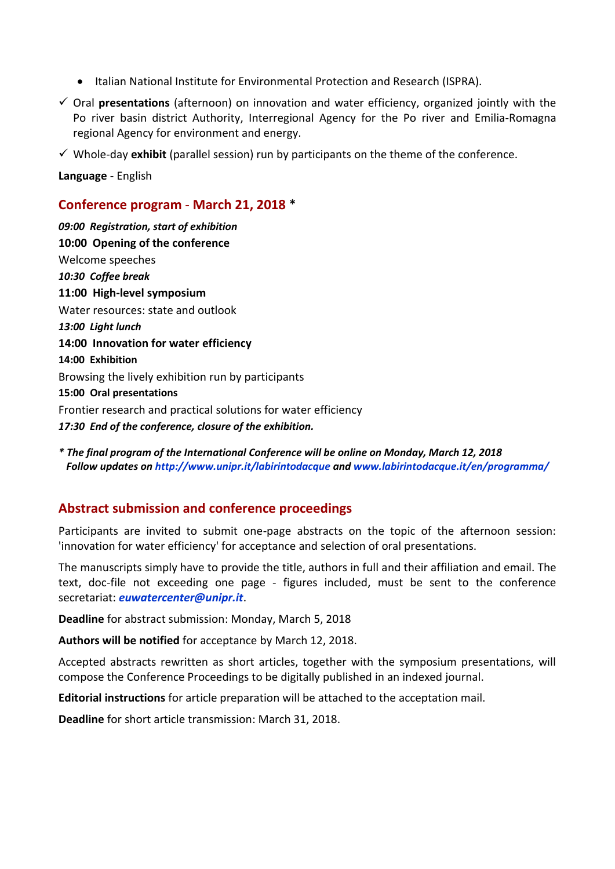- Italian National Institute for Environmental Protection and Research (ISPRA).
- Oral **presentations** (afternoon) on innovation and water efficiency, organized jointly with the Po river basin district Authority, Interregional Agency for the Po river and Emilia-Romagna regional Agency for environment and energy.
- $\checkmark$  Whole-day **exhibit** (parallel session) run by participants on the theme of the conference.

**Language** - English

#### **Conference program** - **March 21, 2018** \*

*09:00 Registration, start of exhibition* **10:00 Opening of the conference** Welcome speeches *10:30 Coffee break* **11:00 High-level symposium** Water resources: state and outlook *13:00 Light lunch* **14:00 Innovation for water efficiency 14:00 Exhibition** Browsing the lively exhibition run by participants **15:00 Oral presentations** Frontier research and practical solutions for water efficiency *17:30 End of the conference, closure of the exhibition.*

*\* The final program of the International Conference will be online on Monday, March 12, 2018 Follow updates on<http://www.unipr.it/labirintodacque> and [www.labirintodacque.it/en/programma/](http://www.labirintodacque.it/en/programma/)*

#### **Abstract submission and conference proceedings**

Participants are invited to submit one-page abstracts on the topic of the afternoon session: 'innovation for water efficiency' for acceptance and selection of oral presentations.

The manuscripts simply have to provide the title, authors in full and their affiliation and email. The text, doc-file not exceeding one page - figures included, must be sent to the conference secretariat: *euwatercenter@unipr.it*.

**Deadline** for abstract submission: Monday, March 5, 2018

**Authors will be notified** for acceptance by March 12, 2018.

Accepted abstracts rewritten as short articles, together with the symposium presentations, will compose the Conference Proceedings to be digitally published in an indexed journal.

**Editorial instructions** for article preparation will be attached to the acceptation mail.

**Deadline** for short article transmission: March 31, 2018.